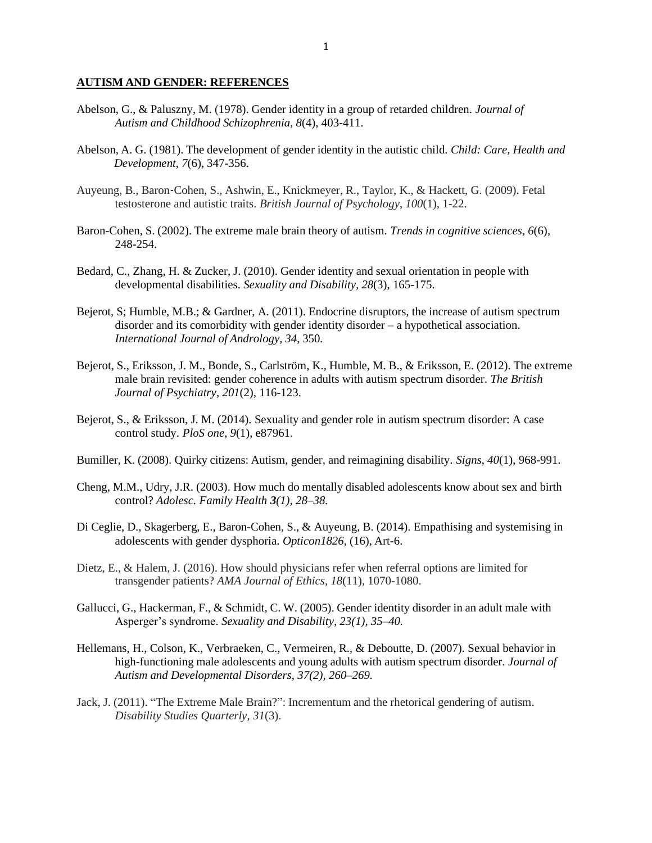## **AUTISM AND GENDER: REFERENCES**

- Abelson, G., & Paluszny, M. (1978). Gender identity in a group of retarded children. *Journal of Autism and Childhood Schizophrenia*, *8*(4), 403-411.
- Abelson, A. G. (1981). The development of gender identity in the autistic child. *Child: Care, Health and Development*, *7*(6), 347-356.
- Auyeung, B., Baron‐Cohen, S., Ashwin, E., Knickmeyer, R., Taylor, K., & Hackett, G. (2009). Fetal testosterone and autistic traits. *British Journal of Psychology*, *100*(1), 1-22.
- Baron-Cohen, S. (2002). The extreme male brain theory of autism. *Trends in cognitive sciences*, *6*(6), 248-254.
- Bedard, C., Zhang, H. & Zucker, J. (2010). Gender identity and sexual orientation in people with developmental disabilities. *Sexuality and Disability, 28*(3), 165-175.
- Bejerot, S; Humble, M.B.; & Gardner, A. (2011). Endocrine disruptors, the increase of autism spectrum disorder and its comorbidity with gender identity disorder – a hypothetical association. *International Journal of Andrology, 34,* 350*.*
- Bejerot, S., Eriksson, J. M., Bonde, S., Carlström, K., Humble, M. B., & Eriksson, E. (2012). The extreme male brain revisited: gender coherence in adults with autism spectrum disorder. *The British Journal of Psychiatry*, *201*(2), 116-123.
- Bejerot, S., & Eriksson, J. M. (2014). Sexuality and gender role in autism spectrum disorder: A case control study. *PloS one*, *9*(1), e87961.
- Bumiller, K. (2008). Quirky citizens: Autism, gender, and reimagining disability. *Signs*, *40*(1), 968-991.
- Cheng, M.M., Udry, J.R. (2003). How much do mentally disabled adolescents know about sex and birth control? *Adolesc. Family Health 3(1), 28–38.*
- Di Ceglie, D., Skagerberg, E., Baron-Cohen, S., & Auyeung, B. (2014). Empathising and systemising in adolescents with gender dysphoria. *Opticon1826*, (16), Art-6.
- Dietz, E., & Halem, J. (2016). How should physicians refer when referral options are limited for transgender patients? *AMA Journal of Ethics*, *18*(11), 1070-1080.
- Gallucci, G., Hackerman, F., & Schmidt, C. W. (2005). Gender identity disorder in an adult male with Asperger's syndrome. *Sexuality and Disability, 23(1), 35–40.*
- Hellemans, H., Colson, K., Verbraeken, C., Vermeiren, R., & Deboutte, D. (2007)*.* Sexual behavior in high-functioning male adolescents and young adults with autism spectrum disorder. *Journal of Autism and Developmental Disorders, 37(2), 260–269.*
- Jack, J. (2011). "The Extreme Male Brain?": Incrementum and the rhetorical gendering of autism. *Disability Studies Quarterly*, *31*(3).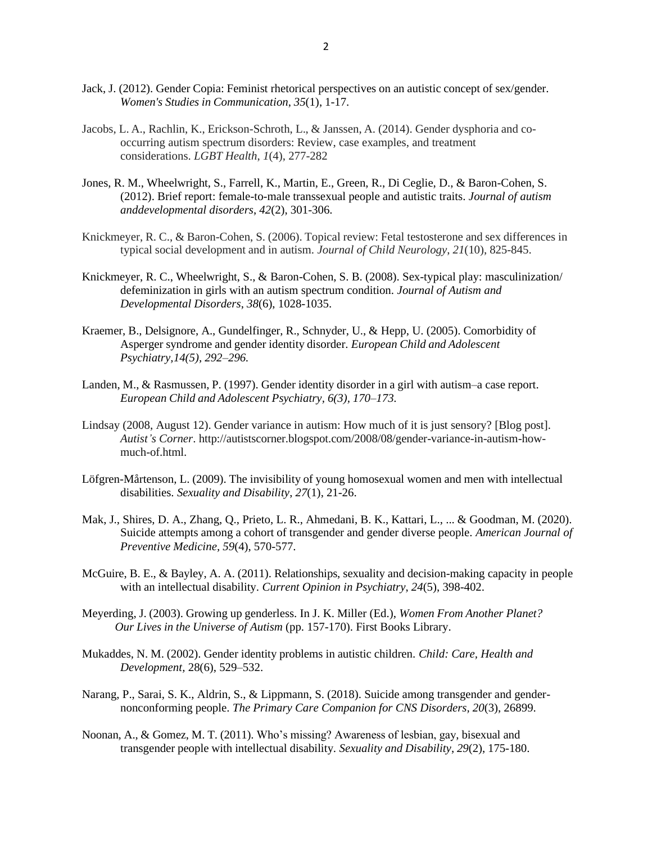- Jack, J. (2012). Gender Copia: Feminist rhetorical perspectives on an autistic concept of sex/gender. *Women's Studies in Communication*, *35*(1), 1-17.
- Jacobs, L. A., Rachlin, K., Erickson-Schroth, L., & Janssen, A. (2014). Gender dysphoria and cooccurring autism spectrum disorders: Review, case examples, and treatment considerations. *LGBT Health*, *1*(4), 277-282
- Jones, R. M., Wheelwright, S., Farrell, K., Martin, E., Green, R., Di Ceglie, D., & Baron-Cohen, S. (2012). Brief report: female-to-male transsexual people and autistic traits. *Journal of autism anddevelopmental disorders*, *42*(2), 301-306.
- Knickmeyer, R. C., & Baron-Cohen, S. (2006). Topical review: Fetal testosterone and sex differences in typical social development and in autism. *Journal of Child Neurology*, *21*(10), 825-845.
- Knickmeyer, R. C., Wheelwright, S., & Baron-Cohen, S. B. (2008). Sex-typical play: masculinization/ defeminization in girls with an autism spectrum condition. *Journal of Autism and Developmental Disorders*, *38*(6), 1028-1035.
- Kraemer, B., Delsignore, A., Gundelfinger, R., Schnyder, U., & Hepp, U. (2005). Comorbidity of Asperger syndrome and gender identity disorder. *European Child and Adolescent Psychiatry,14(5), 292–296.*
- Landen, M., & Rasmussen, P. (1997). Gender identity disorder in a girl with autism–a case report. *European Child and Adolescent Psychiatry, 6(3), 170–173.*
- Lindsay (2008, August 12). Gender variance in autism: How much of it is just sensory? [Blog post]. *Autist's Corner*. [http://autistscorner.blogspot.com/2008/08/gender-variance-in-autism-how](http://autistscorner.blogspot.com/2008/08/gender-variance-in-autism-how-much-of.html)[much-of.html.](http://autistscorner.blogspot.com/2008/08/gender-variance-in-autism-how-much-of.html)
- Löfgren-Mårtenson, L. (2009). The invisibility of young homosexual women and men with intellectual disabilities. *Sexuality and Disability*, *27*(1), 21-26.
- Mak, J., Shires, D. A., Zhang, Q., Prieto, L. R., Ahmedani, B. K., Kattari, L., ... & Goodman, M. (2020). Suicide attempts among a cohort of transgender and gender diverse people. *American Journal of Preventive Medicine, 59*(4), 570-577.
- McGuire, B. E., & Bayley, A. A. (2011). Relationships, sexuality and decision-making capacity in people with an intellectual disability. *Current Opinion in Psychiatry*, *24*(5), 398-402.
- Meyerding, J. (2003). Growing up genderless. In J. K. Miller (Ed.), *Women From Another Planet? Our Lives in the Universe of Autism* (pp. 157-170). First Books Library.
- Mukaddes, N. M. (2002). Gender identity problems in autistic children. *Child: Care, Health and Development,* 28(6), 529–532.
- Narang, P., Sarai, S. K., Aldrin, S., & Lippmann, S. (2018). Suicide among transgender and gendernonconforming people. *The Primary Care Companion for CNS Disorders, 20*(3), 26899.
- Noonan, A., & Gomez, M. T. (2011). Who's missing? Awareness of lesbian, gay, bisexual and transgender people with intellectual disability. *Sexuality and Disability*, *29*(2), 175-180.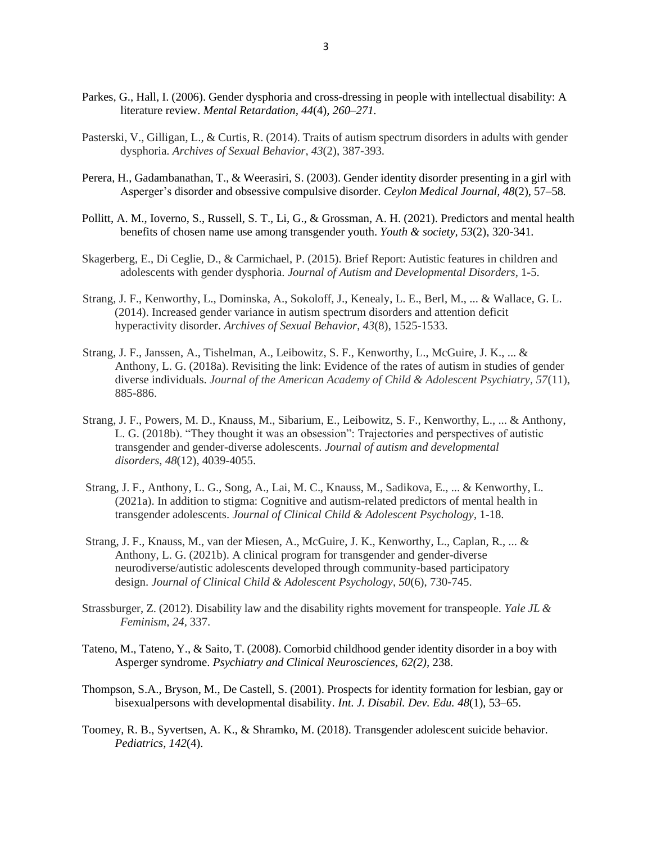- Parkes, G., Hall, I. (2006). Gender dysphoria and cross-dressing in people with intellectual disability: A literature review. *Mental Retardation, 44*(4)*, 260–271.*
- Pasterski, V., Gilligan, L., & Curtis, R. (2014). Traits of autism spectrum disorders in adults with gender dysphoria. *Archives of Sexual Behavior*, *43*(2), 387-393.
- Perera, H., Gadambanathan, T., & Weerasiri, S. (2003). Gender identity disorder presenting in a girl with Asperger's disorder and obsessive compulsive disorder. *Ceylon Medical Journal, 48*(2), 57–58*.*
- Pollitt, A. M., Ioverno, S., Russell, S. T., Li, G., & Grossman, A. H. (2021). Predictors and mental health benefits of chosen name use among transgender youth. *Youth & society, 53*(2), 320-341*.*
- Skagerberg, E., Di Ceglie, D., & Carmichael, P. (2015). Brief Report: Autistic features in children and adolescents with gender dysphoria. *Journal of Autism and Developmental Disorders*, 1-5.
- Strang, J. F., Kenworthy, L., Dominska, A., Sokoloff, J., Kenealy, L. E., Berl, M., ... & Wallace, G. L. (2014). Increased gender variance in autism spectrum disorders and attention deficit hyperactivity disorder. *Archives of Sexual Behavior*, *43*(8), 1525-1533.
- Strang, J. F., Janssen, A., Tishelman, A., Leibowitz, S. F., Kenworthy, L., McGuire, J. K., ... & Anthony, L. G. (2018a). Revisiting the link: Evidence of the rates of autism in studies of gender diverse individuals. *Journal of the American Academy of Child & Adolescent Psychiatry, 57*(11), 885-886.
- Strang, J. F., Powers, M. D., Knauss, M., Sibarium, E., Leibowitz, S. F., Kenworthy, L., ... & Anthony, L. G. (2018b). "They thought it was an obsession": Trajectories and perspectives of autistic transgender and gender-diverse adolescents. *Journal of autism and developmental disorders*, *48*(12), 4039-4055.
- Strang, J. F., Anthony, L. G., Song, A., Lai, M. C., Knauss, M., Sadikova, E., ... & Kenworthy, L. (2021a). In addition to stigma: Cognitive and autism-related predictors of mental health in transgender adolescents. *Journal of Clinical Child & Adolescent Psychology*, 1-18.
- Strang, J. F., Knauss, M., van der Miesen, A., McGuire, J. K., Kenworthy, L., Caplan, R., ... & Anthony, L. G. (2021b). A clinical program for transgender and gender-diverse neurodiverse/autistic adolescents developed through community-based participatory design. *Journal of Clinical Child & Adolescent Psychology*, *50*(6), 730-745.
- Strassburger, Z. (2012). Disability law and the disability rights movement for transpeople. *Yale JL & Feminism*, *24,* 337.
- Tateno, M., Tateno, Y., & Saito, T. (2008). Comorbid childhood gender identity disorder in a boy with Asperger syndrome. *Psychiatry and Clinical Neurosciences, 62(2),* 238.
- Thompson, S.A., Bryson, M., De Castell, S. (2001). Prospects for identity formation for lesbian, gay or bisexualpersons with developmental disability. *Int. J. Disabil. Dev. Edu. 48*(1), 53–65.
- Toomey, R. B., Syvertsen, A. K., & Shramko, M. (2018). Transgender adolescent suicide behavior. *Pediatrics, 142*(4).